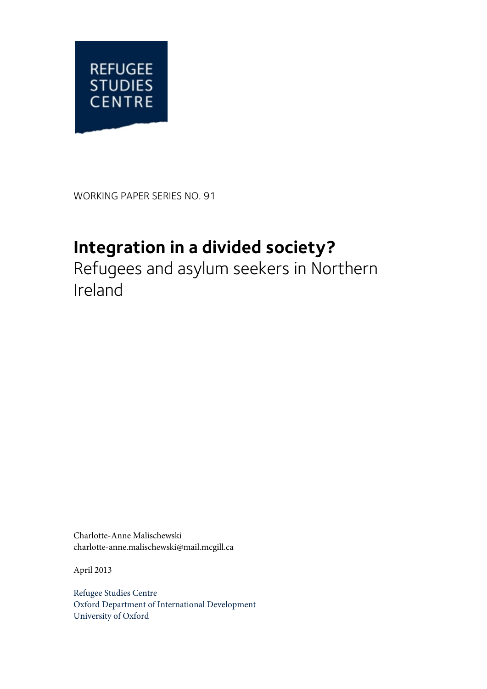

WORKING PAPER SERIES NO. 91

# **Integration in a divided society?**

Refugees and asylum seekers in Northern Ireland

Charlotte-Anne Malischewski charlotte-anne.malischewski@mail.mcgill.ca

April 2013

Refugee Studies Centre Oxford Department of International Development University of Oxford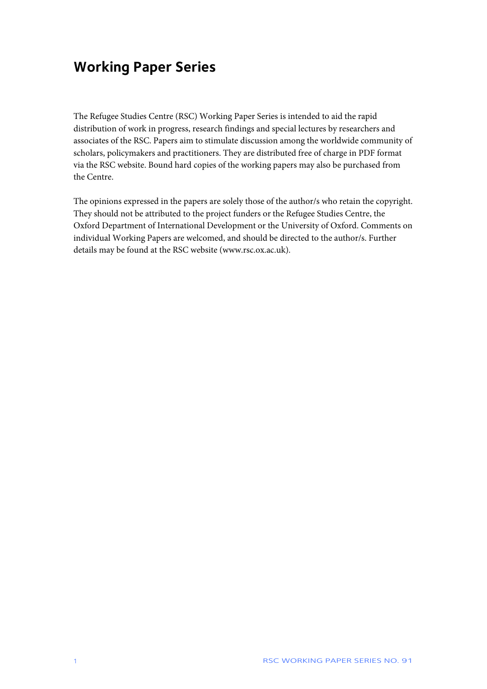## **Working Paper Series**

The Refugee Studies Centre (RSC) Working Paper Series is intended to aid the rapid distribution of work in progress, research findings and special lectures by researchers and associates of the RSC. Papers aim to stimulate discussion among the worldwide community of scholars, policymakers and practitioners. They are distributed free of charge in PDF format via the RSC website. Bound hard copies of the working papers may also be purchased from the Centre.

The opinions expressed in the papers are solely those of the author/s who retain the copyright. They should not be attributed to the project funders or the Refugee Studies Centre, the Oxford Department of International Development or the University of Oxford. Comments on individual Working Papers are welcomed, and should be directed to the author/s. Further details may be found at the RSC website (www.rsc.ox.ac.uk).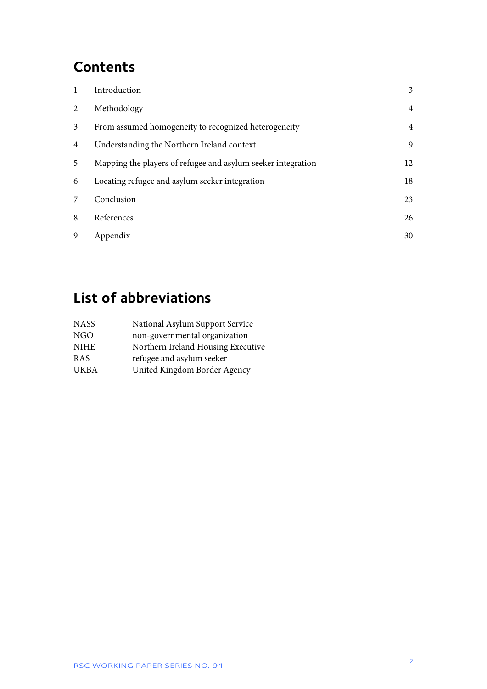## **Contents**

|                | Introduction                                                 | 3              |
|----------------|--------------------------------------------------------------|----------------|
| 2              | Methodology                                                  | $\overline{4}$ |
| 3              | From assumed homogeneity to recognized heterogeneity         | $\overline{4}$ |
| $\overline{4}$ | Understanding the Northern Ireland context                   | 9              |
| 5              | Mapping the players of refugee and asylum seeker integration | 12             |
| 6              | Locating refugee and asylum seeker integration               | 18             |
| 7              | Conclusion                                                   | 23             |
| 8              | References                                                   | 26             |
| $\mathbf{Q}$   | Appendix                                                     | 30             |

# **List of abbreviations**

| <b>NASS</b> | National Asylum Support Service    |
|-------------|------------------------------------|
| <b>NGO</b>  | non-governmental organization      |
| <b>NIHE</b> | Northern Ireland Housing Executive |
| <b>RAS</b>  | refugee and asylum seeker          |
| <b>UKBA</b> | United Kingdom Border Agency       |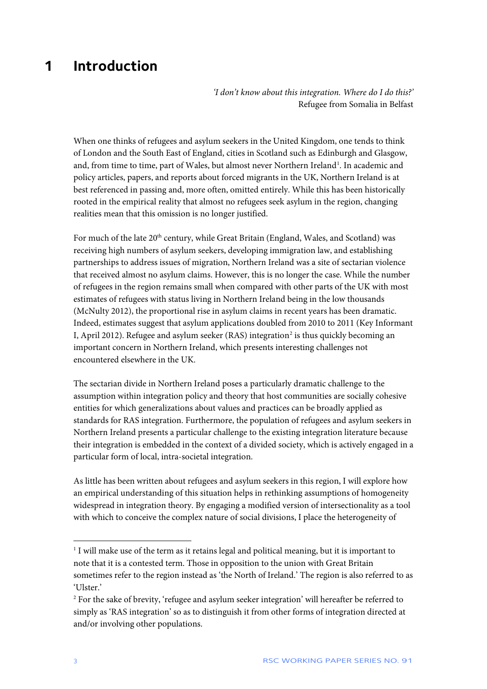### <span id="page-3-0"></span>**1 Introduction**

*'I don't know about this integration. Where do I do this?'* Refugee from Somalia in Belfast

When one thinks of refugees and asylum seekers in the United Kingdom, one tends to think of London and the South East of England, cities in Scotland such as Edinburgh and Glasgow, and, from time to time, part of Wales, but almost never Northern Ireland<sup>[1](#page-3-1)</sup>. In academic and policy articles, papers, and reports about forced migrants in the UK, Northern Ireland is at best referenced in passing and, more often, omitted entirely. While this has been historically rooted in the empirical reality that almost no refugees seek asylum in the region, changing realities mean that this omission is no longer justified.

For much of the late 20<sup>th</sup> century, while Great Britain (England, Wales, and Scotland) was receiving high numbers of asylum seekers, developing immigration law, and establishing partnerships to address issues of migration, Northern Ireland was a site of sectarian violence that received almost no asylum claims. However, this is no longer the case. While the number of refugees in the region remains small when compared with other parts of the UK with most estimates of refugees with status living in Northern Ireland being in the low thousands (McNulty 2012), the proportional rise in asylum claims in recent years has been dramatic. Indeed, estimates suggest that asylum applications doubled from 2010 to 2011 (Key Informant I, April [2](#page-3-2)012). Refugee and asylum seeker (RAS) integration<sup>2</sup> is thus quickly becoming an important concern in Northern Ireland, which presents interesting challenges not encountered elsewhere in the UK.

The sectarian divide in Northern Ireland poses a particularly dramatic challenge to the assumption within integration policy and theory that host communities are socially cohesive entities for which generalizations about values and practices can be broadly applied as standards for RAS integration. Furthermore, the population of refugees and asylum seekers in Northern Ireland presents a particular challenge to the existing integration literature because their integration is embedded in the context of a divided society, which is actively engaged in a particular form of local, intra-societal integration.

As little has been written about refugees and asylum seekers in this region, I will explore how an empirical understanding of this situation helps in rethinking assumptions of homogeneity widespread in integration theory. By engaging a modified version of intersectionality as a tool with which to conceive the complex nature of social divisions, I place the heterogeneity of

 $\overline{a}$ 

<span id="page-3-1"></span><sup>&</sup>lt;sup>1</sup> I will make use of the term as it retains legal and political meaning, but it is important to note that it is a contested term. Those in opposition to the union with Great Britain sometimes refer to the region instead as 'the North of Ireland.' The region is also referred to as 'Ulster.'

<span id="page-3-2"></span><sup>&</sup>lt;sup>2</sup> For the sake of brevity, 'refugee and asylum seeker integration' will hereafter be referred to simply as 'RAS integration' so as to distinguish it from other forms of integration directed at and/or involving other populations.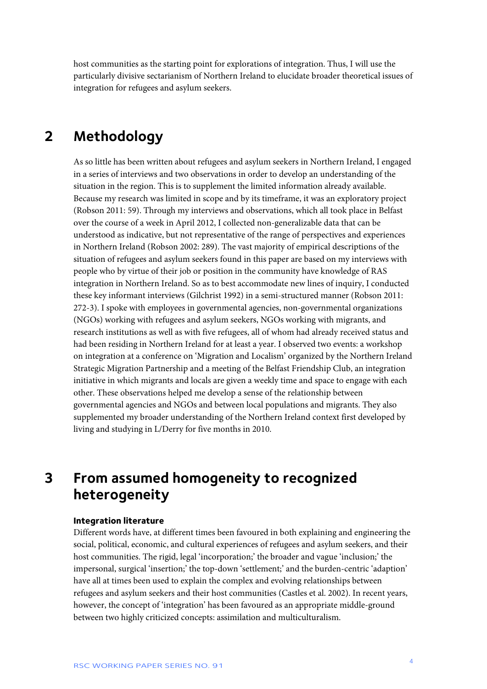host communities as the starting point for explorations of integration. Thus, I will use the particularly divisive sectarianism of Northern Ireland to elucidate broader theoretical issues of integration for refugees and asylum seekers.

### <span id="page-4-0"></span>**2 Methodology**

As so little has been written about refugees and asylum seekers in Northern Ireland, I engaged in a series of interviews and two observations in order to develop an understanding of the situation in the region. This is to supplement the limited information already available. Because my research was limited in scope and by its timeframe, it was an exploratory project (Robson 2011: 59). Through my interviews and observations, which all took place in Belfast over the course of a week in April 2012, I collected non-generalizable data that can be understood as indicative, but not representative of the range of perspectives and experiences in Northern Ireland (Robson 2002: 289). The vast majority of empirical descriptions of the situation of refugees and asylum seekers found in this paper are based on my interviews with people who by virtue of their job or position in the community have knowledge of RAS integration in Northern Ireland. So as to best accommodate new lines of inquiry, I conducted these key informant interviews (Gilchrist 1992) in a semi-structured manner (Robson 2011: 272-3). I spoke with employees in governmental agencies, non-governmental organizations (NGOs) working with refugees and asylum seekers, NGOs working with migrants, and research institutions as well as with five refugees, all of whom had already received status and had been residing in Northern Ireland for at least a year. I observed two events: a workshop on integration at a conference on 'Migration and Localism' organized by the Northern Ireland Strategic Migration Partnership and a meeting of the Belfast Friendship Club, an integration initiative in which migrants and locals are given a weekly time and space to engage with each other. These observations helped me develop a sense of the relationship between governmental agencies and NGOs and between local populations and migrants. They also supplemented my broader understanding of the Northern Ireland context first developed by living and studying in L/Derry for five months in 2010.

<span id="page-4-1"></span>**3 From assumed homogeneity to recognized heterogeneity**

#### **Integration literature**

Different words have, at different times been favoured in both explaining and engineering the social, political, economic, and cultural experiences of refugees and asylum seekers, and their host communities. The rigid, legal 'incorporation;' the broader and vague 'inclusion;' the impersonal, surgical 'insertion;' the top-down 'settlement;' and the burden-centric 'adaption' have all at times been used to explain the complex and evolving relationships between refugees and asylum seekers and their host communities (Castles et al. 2002). In recent years, however, the concept of 'integration' has been favoured as an appropriate middle-ground between two highly criticized concepts: assimilation and multiculturalism.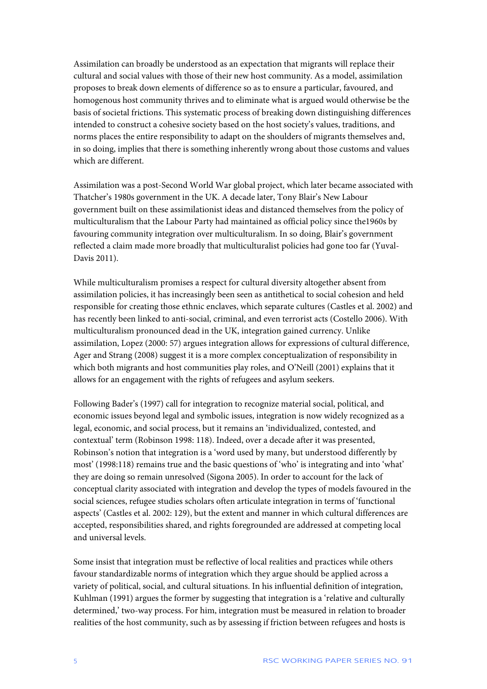Assimilation can broadly be understood as an expectation that migrants will replace their cultural and social values with those of their new host community. As a model, assimilation proposes to break down elements of difference so as to ensure a particular, favoured, and homogenous host community thrives and to eliminate what is argued would otherwise be the basis of societal frictions. This systematic process of breaking down distinguishing differences intended to construct a cohesive society based on the host society's values, traditions, and norms places the entire responsibility to adapt on the shoulders of migrants themselves and, in so doing, implies that there is something inherently wrong about those customs and values which are different.

Assimilation was a post-Second World War global project, which later became associated with Thatcher's 1980s government in the UK. A decade later, Tony Blair's New Labour government built on these assimilationist ideas and distanced themselves from the policy of multiculturalism that the Labour Party had maintained as official policy since the1960s by favouring community integration over multiculturalism. In so doing, Blair's government reflected a claim made more broadly that multiculturalist policies had gone too far (Yuval-Davis 2011).

While multiculturalism promises a respect for cultural diversity altogether absent from assimilation policies, it has increasingly been seen as antithetical to social cohesion and held responsible for creating those ethnic enclaves, which separate cultures (Castles et al. 2002) and has recently been linked to anti-social, criminal, and even terrorist acts (Costello 2006). With multiculturalism pronounced dead in the UK, integration gained currency. Unlike assimilation, Lopez (2000: 57) argues integration allows for expressions of cultural difference, Ager and Strang (2008) suggest it is a more complex conceptualization of responsibility in which both migrants and host communities play roles, and O'Neill (2001) explains that it allows for an engagement with the rights of refugees and asylum seekers.

Following Bader's (1997) call for integration to recognize material social, political, and economic issues beyond legal and symbolic issues, integration is now widely recognized as a legal, economic, and social process, but it remains an 'individualized, contested, and contextual' term (Robinson 1998: 118). Indeed, over a decade after it was presented, Robinson's notion that integration is a 'word used by many, but understood differently by most' (1998:118) remains true and the basic questions of 'who' is integrating and into 'what' they are doing so remain unresolved (Sigona 2005). In order to account for the lack of conceptual clarity associated with integration and develop the types of models favoured in the social sciences, refugee studies scholars often articulate integration in terms of 'functional aspects' (Castles et al. 2002: 129), but the extent and manner in which cultural differences are accepted, responsibilities shared, and rights foregrounded are addressed at competing local and universal levels.

Some insist that integration must be reflective of local realities and practices while others favour standardizable norms of integration which they argue should be applied across a variety of political, social, and cultural situations. In his influential definition of integration, Kuhlman (1991) argues the former by suggesting that integration is a 'relative and culturally determined,' two-way process. For him, integration must be measured in relation to broader realities of the host community, such as by assessing if friction between refugees and hosts is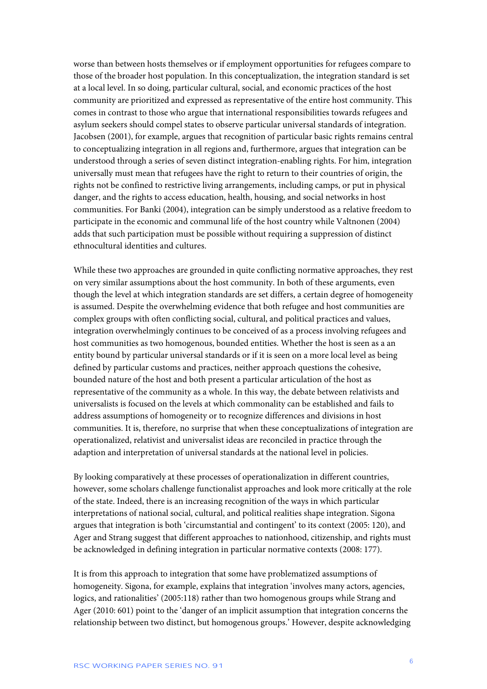worse than between hosts themselves or if employment opportunities for refugees compare to those of the broader host population. In this conceptualization, the integration standard is set at a local level. In so doing, particular cultural, social, and economic practices of the host community are prioritized and expressed as representative of the entire host community. This comes in contrast to those who argue that international responsibilities towards refugees and asylum seekers should compel states to observe particular universal standards of integration. Jacobsen (2001), for example, argues that recognition of particular basic rights remains central to conceptualizing integration in all regions and, furthermore, argues that integration can be understood through a series of seven distinct integration-enabling rights. For him, integration universally must mean that refugees have the right to return to their countries of origin, the rights not be confined to restrictive living arrangements, including camps, or put in physical danger, and the rights to access education, health, housing, and social networks in host communities. For Banki (2004), integration can be simply understood as a relative freedom to participate in the economic and communal life of the host country while Valtnonen (2004) adds that such participation must be possible without requiring a suppression of distinct ethnocultural identities and cultures.

While these two approaches are grounded in quite conflicting normative approaches, they rest on very similar assumptions about the host community. In both of these arguments, even though the level at which integration standards are set differs, a certain degree of homogeneity is assumed. Despite the overwhelming evidence that both refugee and host communities are complex groups with often conflicting social, cultural, and political practices and values, integration overwhelmingly continues to be conceived of as a process involving refugees and host communities as two homogenous, bounded entities. Whether the host is seen as a an entity bound by particular universal standards or if it is seen on a more local level as being defined by particular customs and practices, neither approach questions the cohesive, bounded nature of the host and both present a particular articulation of the host as representative of the community as a whole. In this way, the debate between relativists and universalists is focused on the levels at which commonality can be established and fails to address assumptions of homogeneity or to recognize differences and divisions in host communities. It is, therefore, no surprise that when these conceptualizations of integration are operationalized, relativist and universalist ideas are reconciled in practice through the adaption and interpretation of universal standards at the national level in policies.

By looking comparatively at these processes of operationalization in different countries, however, some scholars challenge functionalist approaches and look more critically at the role of the state. Indeed, there is an increasing recognition of the ways in which particular interpretations of national social, cultural, and political realities shape integration. Sigona argues that integration is both 'circumstantial and contingent' to its context (2005: 120), and Ager and Strang suggest that different approaches to nationhood, citizenship, and rights must be acknowledged in defining integration in particular normative contexts (2008: 177).

It is from this approach to integration that some have problematized assumptions of homogeneity. Sigona, for example, explains that integration 'involves many actors, agencies, logics, and rationalities' (2005:118) rather than two homogenous groups while Strang and Ager (2010: 601) point to the 'danger of an implicit assumption that integration concerns the relationship between two distinct, but homogenous groups.' However, despite acknowledging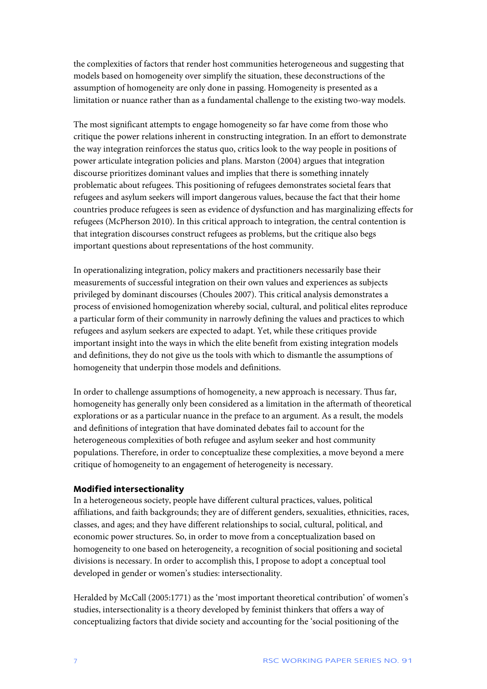the complexities of factors that render host communities heterogeneous and suggesting that models based on homogeneity over simplify the situation, these deconstructions of the assumption of homogeneity are only done in passing. Homogeneity is presented as a limitation or nuance rather than as a fundamental challenge to the existing two-way models.

The most significant attempts to engage homogeneity so far have come from those who critique the power relations inherent in constructing integration. In an effort to demonstrate the way integration reinforces the status quo, critics look to the way people in positions of power articulate integration policies and plans. Marston (2004) argues that integration discourse prioritizes dominant values and implies that there is something innately problematic about refugees. This positioning of refugees demonstrates societal fears that refugees and asylum seekers will import dangerous values, because the fact that their home countries produce refugees is seen as evidence of dysfunction and has marginalizing effects for refugees (McPherson 2010). In this critical approach to integration, the central contention is that integration discourses construct refugees as problems, but the critique also begs important questions about representations of the host community.

In operationalizing integration, policy makers and practitioners necessarily base their measurements of successful integration on their own values and experiences as subjects privileged by dominant discourses (Choules 2007). This critical analysis demonstrates a process of envisioned homogenization whereby social, cultural, and political elites reproduce a particular form of their community in narrowly defining the values and practices to which refugees and asylum seekers are expected to adapt. Yet, while these critiques provide important insight into the ways in which the elite benefit from existing integration models and definitions, they do not give us the tools with which to dismantle the assumptions of homogeneity that underpin those models and definitions.

In order to challenge assumptions of homogeneity, a new approach is necessary. Thus far, homogeneity has generally only been considered as a limitation in the aftermath of theoretical explorations or as a particular nuance in the preface to an argument. As a result, the models and definitions of integration that have dominated debates fail to account for the heterogeneous complexities of both refugee and asylum seeker and host community populations. Therefore, in order to conceptualize these complexities, a move beyond a mere critique of homogeneity to an engagement of heterogeneity is necessary.

#### **Modified intersectionality**

In a heterogeneous society, people have different cultural practices, values, political affiliations, and faith backgrounds; they are of different genders, sexualities, ethnicities, races, classes, and ages; and they have different relationships to social, cultural, political, and economic power structures. So, in order to move from a conceptualization based on homogeneity to one based on heterogeneity, a recognition of social positioning and societal divisions is necessary. In order to accomplish this, I propose to adopt a conceptual tool developed in gender or women's studies: intersectionality.

Heralded by McCall (2005:1771) as the 'most important theoretical contribution' of women's studies, intersectionality is a theory developed by feminist thinkers that offers a way of conceptualizing factors that divide society and accounting for the 'social positioning of the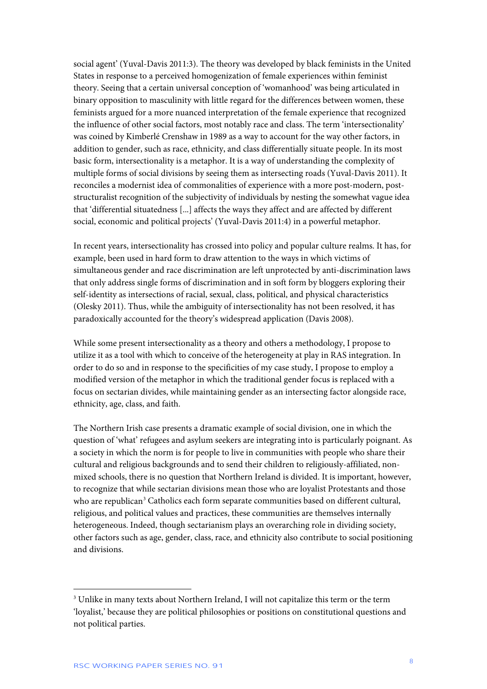social agent' (Yuval-Davis 2011:3). The theory was developed by black feminists in the United States in response to a perceived homogenization of female experiences within feminist theory. Seeing that a certain universal conception of 'womanhood' was being articulated in binary opposition to masculinity with little regard for the differences between women, these feminists argued for a more nuanced interpretation of the female experience that recognized the influence of other social factors, most notably race and class. The term 'intersectionality' was coined by Kimberlé Crenshaw in 1989 as a way to account for the way other factors, in addition to gender, such as race, ethnicity, and class differentially situate people. In its most basic form, intersectionality is a metaphor. It is a way of understanding the complexity of multiple forms of social divisions by seeing them as intersecting roads (Yuval-Davis 2011). It reconciles a modernist idea of commonalities of experience with a more post-modern, poststructuralist recognition of the subjectivity of individuals by nesting the somewhat vague idea that 'differential situatedness [...] affects the ways they affect and are affected by different social, economic and political projects' (Yuval-Davis 2011:4) in a powerful metaphor.

In recent years, intersectionality has crossed into policy and popular culture realms. It has, for example, been used in hard form to draw attention to the ways in which victims of simultaneous gender and race discrimination are left unprotected by anti-discrimination laws that only address single forms of discrimination and in soft form by bloggers exploring their self-identity as intersections of racial, sexual, class, political, and physical characteristics (Olesky 2011). Thus, while the ambiguity of intersectionality has not been resolved, it has paradoxically accounted for the theory's widespread application (Davis 2008).

While some present intersectionality as a theory and others a methodology, I propose to utilize it as a tool with which to conceive of the heterogeneity at play in RAS integration. In order to do so and in response to the specificities of my case study, I propose to employ a modified version of the metaphor in which the traditional gender focus is replaced with a focus on sectarian divides, while maintaining gender as an intersecting factor alongside race, ethnicity, age, class, and faith.

The Northern Irish case presents a dramatic example of social division, one in which the question of 'what' refugees and asylum seekers are integrating into is particularly poignant. As a society in which the norm is for people to live in communities with people who share their cultural and religious backgrounds and to send their children to religiously-affiliated, nonmixed schools, there is no question that Northern Ireland is divided. It is important, however, to recognize that while sectarian divisions mean those who are loyalist Protestants and those who are republican<sup>[3](#page-8-0)</sup> Catholics each form separate communities based on different cultural, religious, and political values and practices, these communities are themselves internally heterogeneous. Indeed, though sectarianism plays an overarching role in dividing society, other factors such as age, gender, class, race, and ethnicity also contribute to social positioning and divisions.

 $\ddot{\phantom{a}}$ 

<span id="page-8-0"></span><sup>3</sup> Unlike in many texts about Northern Ireland, I will not capitalize this term or the term 'loyalist,' because they are political philosophies or positions on constitutional questions and not political parties.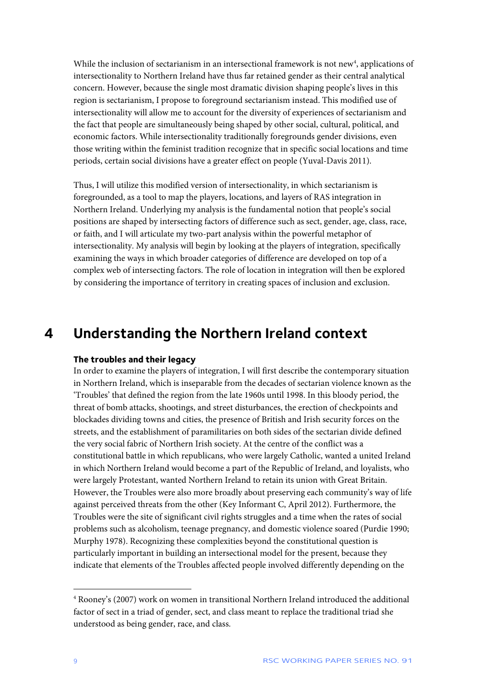While the inclusion of sectarianism in an intersectional framework is not new<sup>4</sup>, applications of intersectionality to Northern Ireland have thus far retained gender as their central analytical concern. However, because the single most dramatic division shaping people's lives in this region is sectarianism, I propose to foreground sectarianism instead. This modified use of intersectionality will allow me to account for the diversity of experiences of sectarianism and the fact that people are simultaneously being shaped by other social, cultural, political, and economic factors. While intersectionality traditionally foregrounds gender divisions, even those writing within the feminist tradition recognize that in specific social locations and time periods, certain social divisions have a greater effect on people (Yuval-Davis 2011).

Thus, I will utilize this modified version of intersectionality, in which sectarianism is foregrounded, as a tool to map the players, locations, and layers of RAS integration in Northern Ireland. Underlying my analysis is the fundamental notion that people's social positions are shaped by intersecting factors of difference such as sect, gender, age, class, race, or faith, and I will articulate my two-part analysis within the powerful metaphor of intersectionality. My analysis will begin by looking at the players of integration, specifically examining the ways in which broader categories of difference are developed on top of a complex web of intersecting factors. The role of location in integration will then be explored by considering the importance of territory in creating spaces of inclusion and exclusion.

### <span id="page-9-0"></span>**4 Understanding the Northern Ireland context**

#### **The troubles and their legacy**

In order to examine the players of integration, I will first describe the contemporary situation in Northern Ireland, which is inseparable from the decades of sectarian violence known as the 'Troubles' that defined the region from the late 1960s until 1998. In this bloody period, the threat of bomb attacks, shootings, and street disturbances, the erection of checkpoints and blockades dividing towns and cities, the presence of British and Irish security forces on the streets, and the establishment of paramilitaries on both sides of the sectarian divide defined the very social fabric of Northern Irish society. At the centre of the conflict was a constitutional battle in which republicans, who were largely Catholic, wanted a united Ireland in which Northern Ireland would become a part of the Republic of Ireland, and loyalists, who were largely Protestant, wanted Northern Ireland to retain its union with Great Britain. However, the Troubles were also more broadly about preserving each community's way of life against perceived threats from the other (Key Informant C, April 2012). Furthermore, the Troubles were the site of significant civil rights struggles and a time when the rates of social problems such as alcoholism, teenage pregnancy, and domestic violence soared (Purdie 1990; Murphy 1978). Recognizing these complexities beyond the constitutional question is particularly important in building an intersectional model for the present, because they indicate that elements of the Troubles affected people involved differently depending on the

 $\ddot{\phantom{a}}$ 

<span id="page-9-1"></span><sup>4</sup> Rooney's (2007) work on women in transitional Northern Ireland introduced the additional factor of sect in a triad of gender, sect, and class meant to replace the traditional triad she understood as being gender, race, and class.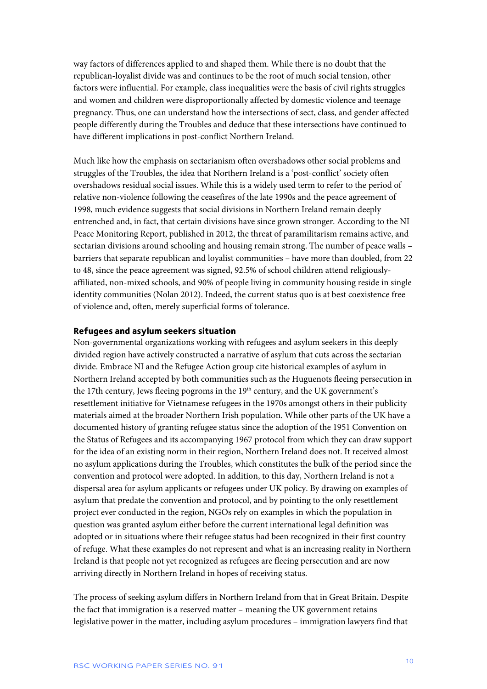way factors of differences applied to and shaped them. While there is no doubt that the republican-loyalist divide was and continues to be the root of much social tension, other factors were influential. For example, class inequalities were the basis of civil rights struggles and women and children were disproportionally affected by domestic violence and teenage pregnancy. Thus, one can understand how the intersections of sect, class, and gender affected people differently during the Troubles and deduce that these intersections have continued to have different implications in post-conflict Northern Ireland.

Much like how the emphasis on sectarianism often overshadows other social problems and struggles of the Troubles, the idea that Northern Ireland is a 'post-conflict' society often overshadows residual social issues. While this is a widely used term to refer to the period of relative non-violence following the ceasefires of the late 1990s and the peace agreement of 1998, much evidence suggests that social divisions in Northern Ireland remain deeply entrenched and, in fact, that certain divisions have since grown stronger. According to the NI Peace Monitoring Report, published in 2012, the threat of paramilitarism remains active, and sectarian divisions around schooling and housing remain strong. The number of peace walls – barriers that separate republican and loyalist communities – have more than doubled, from 22 to 48, since the peace agreement was signed, 92.5% of school children attend religiouslyaffiliated, non-mixed schools, and 90% of people living in community housing reside in single identity communities (Nolan 2012). Indeed, the current status quo is at best coexistence free of violence and, often, merely superficial forms of tolerance.

#### **Refugees and asylum seekers situation**

Non-governmental organizations working with refugees and asylum seekers in this deeply divided region have actively constructed a narrative of asylum that cuts across the sectarian divide. Embrace NI and the Refugee Action group cite historical examples of asylum in Northern Ireland accepted by both communities such as the Huguenots fleeing persecution in the 17th century, Jews fleeing pogroms in the  $19<sup>th</sup>$  century, and the UK government's resettlement initiative for Vietnamese refugees in the 1970s amongst others in their publicity materials aimed at the broader Northern Irish population. While other parts of the UK have a documented history of granting refugee status since the adoption of the 1951 Convention on the Status of Refugees and its accompanying 1967 protocol from which they can draw support for the idea of an existing norm in their region, Northern Ireland does not. It received almost no asylum applications during the Troubles, which constitutes the bulk of the period since the convention and protocol were adopted. In addition, to this day, Northern Ireland is not a dispersal area for asylum applicants or refugees under UK policy. By drawing on examples of asylum that predate the convention and protocol, and by pointing to the only resettlement project ever conducted in the region, NGOs rely on examples in which the population in question was granted asylum either before the current international legal definition was adopted or in situations where their refugee status had been recognized in their first country of refuge. What these examples do not represent and what is an increasing reality in Northern Ireland is that people not yet recognized as refugees are fleeing persecution and are now arriving directly in Northern Ireland in hopes of receiving status.

The process of seeking asylum differs in Northern Ireland from that in Great Britain. Despite the fact that immigration is a reserved matter – meaning the UK government retains legislative power in the matter, including asylum procedures – immigration lawyers find that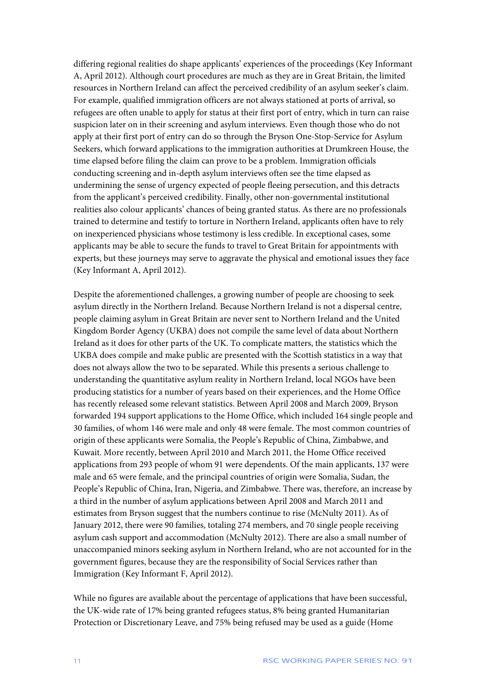differing regional realities do shape applicants' experiences of the proceedings (Key Informant A, April 2012). Although court procedures are much as they are in Great Britain, the limited resources in Northern Ireland can affect the perceived credibility of an asylum seeker's claim. For example, qualified immigration officers are not always stationed at ports of arrival, so refugees are often unable to apply for status at their first port of entry, which in turn can raise suspicion later on in their screening and asylum interviews. Even though those who do not apply at their first port of entry can do so through the Bryson One-Stop-Service for Asylum Seekers, which forward applications to the immigration authorities at Drumkreen House, the time elapsed before filing the claim can prove to be a problem. Immigration officials conducting screening and in-depth asylum interviews often see the time elapsed as undermining the sense of urgency expected of people fleeing persecution, and this detracts from the applicant's perceived credibility. Finally, other non-governmental institutional realities also colour applicants' chances of being granted status. As there are no professionals trained to determine and testify to torture in Northern Ireland, applicants often have to rely on inexperienced physicians whose testimony is less credible. In exceptional cases, some applicants may be able to secure the funds to travel to Great Britain for appointments with experts, but these journeys may serve to aggravate the physical and emotional issues they face (Key Informant A, April 2012).

Despite the aforementioned challenges, a growing number of people are choosing to seek asylum directly in the Northern Ireland. Because Northern Ireland is not a dispersal centre, people claiming asylum in Great Britain are never sent to Northern Ireland and the United Kingdom Border Agency (UKBA) does not compile the same level of data about Northern Ireland as it does for other parts of the UK. To complicate matters, the statistics which the UKBA does compile and make public are presented with the Scottish statistics in a way that does not always allow the two to be separated. While this presents a serious challenge to understanding the quantitative asylum reality in Northern Ireland, local NGOs have been producing statistics for a number of years based on their experiences, and the Home Office has recently released some relevant statistics. Between April 2008 and March 2009, Bryson forwarded 194 support applications to the Home Office, which included 164 single people and 30 families, of whom 146 were male and only 48 were female. The most common countries of origin of these applicants were Somalia, the People's Republic of China, Zimbabwe, and Kuwait. More recently, between April 2010 and March 2011, the Home Office received applications from 293 people of whom 91 were dependents. Of the main applicants, 137 were male and 65 were female, and the principal countries of origin were Somalia, Sudan, the People's Republic of China, Iran, Nigeria, and Zimbabwe. There was, therefore, an increase by a third in the number of asylum applications between April 2008 and March 2011 and estimates from Bryson suggest that the numbers continue to rise (McNulty 2011). As of January 2012, there were 90 families, totaling 274 members, and 70 single people receiving asylum cash support and accommodation (McNulty 2012). There are also a small number of unaccompanied minors seeking asylum in Northern Ireland, who are not accounted for in the government figures, because they are the responsibility of Social Services rather than Immigration (Key Informant F, April 2012).

While no figures are available about the percentage of applications that have been successful, the UK-wide rate of 17% being granted refugees status, 8% being granted Humanitarian Protection or Discretionary Leave, and 75% being refused may be used as a guide (Home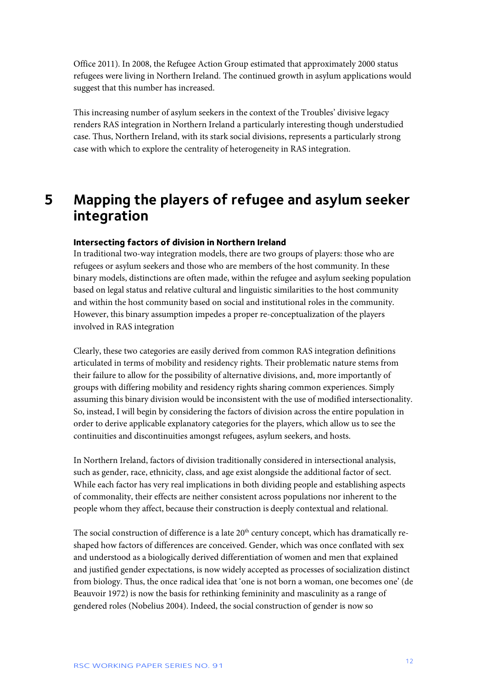Office 2011). In 2008, the Refugee Action Group estimated that approximately 2000 status refugees were living in Northern Ireland. The continued growth in asylum applications would suggest that this number has increased.

This increasing number of asylum seekers in the context of the Troubles' divisive legacy renders RAS integration in Northern Ireland a particularly interesting though understudied case. Thus, Northern Ireland, with its stark social divisions, represents a particularly strong case with which to explore the centrality of heterogeneity in RAS integration.

### <span id="page-12-0"></span>**5 Mapping the players of refugee and asylum seeker integration**

#### **Intersecting factors of division in Northern Ireland**

In traditional two-way integration models, there are two groups of players: those who are refugees or asylum seekers and those who are members of the host community. In these binary models, distinctions are often made, within the refugee and asylum seeking population based on legal status and relative cultural and linguistic similarities to the host community and within the host community based on social and institutional roles in the community. However, this binary assumption impedes a proper re-conceptualization of the players involved in RAS integration

Clearly, these two categories are easily derived from common RAS integration definitions articulated in terms of mobility and residency rights. Their problematic nature stems from their failure to allow for the possibility of alternative divisions, and, more importantly of groups with differing mobility and residency rights sharing common experiences. Simply assuming this binary division would be inconsistent with the use of modified intersectionality. So, instead, I will begin by considering the factors of division across the entire population in order to derive applicable explanatory categories for the players, which allow us to see the continuities and discontinuities amongst refugees, asylum seekers, and hosts.

In Northern Ireland, factors of division traditionally considered in intersectional analysis, such as gender, race, ethnicity, class, and age exist alongside the additional factor of sect. While each factor has very real implications in both dividing people and establishing aspects of commonality, their effects are neither consistent across populations nor inherent to the people whom they affect, because their construction is deeply contextual and relational.

The social construction of difference is a late 20<sup>th</sup> century concept, which has dramatically reshaped how factors of differences are conceived. Gender, which was once conflated with sex and understood as a biologically derived differentiation of women and men that explained and justified gender expectations, is now widely accepted as processes of socialization distinct from biology. Thus, the once radical idea that 'one is not born a woman, one becomes one' (de Beauvoir 1972) is now the basis for rethinking femininity and masculinity as a range of gendered roles (Nobelius 2004). Indeed, the social construction of gender is now so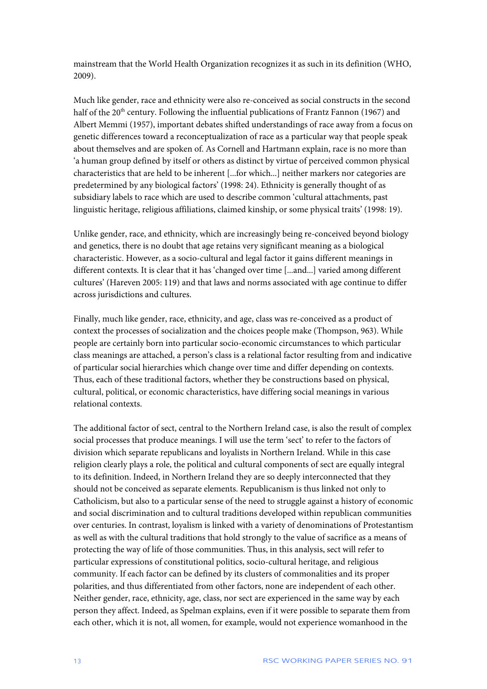mainstream that the World Health Organization recognizes it as such in its definition (WHO, 2009).

Much like gender, race and ethnicity were also re-conceived as social constructs in the second half of the  $20<sup>th</sup>$  century. Following the influential publications of Frantz Fannon (1967) and Albert Memmi (1957), important debates shifted understandings of race away from a focus on genetic differences toward a reconceptualization of race as a particular way that people speak about themselves and are spoken of. As Cornell and Hartmann explain, race is no more than 'a human group defined by itself or others as distinct by virtue of perceived common physical characteristics that are held to be inherent [...for which...] neither markers nor categories are predetermined by any biological factors' (1998: 24). Ethnicity is generally thought of as subsidiary labels to race which are used to describe common 'cultural attachments, past linguistic heritage, religious affiliations, claimed kinship, or some physical traits' (1998: 19).

Unlike gender, race, and ethnicity, which are increasingly being re-conceived beyond biology and genetics, there is no doubt that age retains very significant meaning as a biological characteristic. However, as a socio-cultural and legal factor it gains different meanings in different contexts. It is clear that it has 'changed over time [...and...] varied among different cultures' (Hareven 2005: 119) and that laws and norms associated with age continue to differ across jurisdictions and cultures.

Finally, much like gender, race, ethnicity, and age, class was re-conceived as a product of context the processes of socialization and the choices people make (Thompson, 963). While people are certainly born into particular socio-economic circumstances to which particular class meanings are attached, a person's class is a relational factor resulting from and indicative of particular social hierarchies which change over time and differ depending on contexts. Thus, each of these traditional factors, whether they be constructions based on physical, cultural, political, or economic characteristics, have differing social meanings in various relational contexts.

The additional factor of sect, central to the Northern Ireland case, is also the result of complex social processes that produce meanings. I will use the term 'sect' to refer to the factors of division which separate republicans and loyalists in Northern Ireland. While in this case religion clearly plays a role, the political and cultural components of sect are equally integral to its definition. Indeed, in Northern Ireland they are so deeply interconnected that they should not be conceived as separate elements. Republicanism is thus linked not only to Catholicism, but also to a particular sense of the need to struggle against a history of economic and social discrimination and to cultural traditions developed within republican communities over centuries. In contrast, loyalism is linked with a variety of denominations of Protestantism as well as with the cultural traditions that hold strongly to the value of sacrifice as a means of protecting the way of life of those communities. Thus, in this analysis, sect will refer to particular expressions of constitutional politics, socio-cultural heritage, and religious community. If each factor can be defined by its clusters of commonalities and its proper polarities, and thus differentiated from other factors, none are independent of each other. Neither gender, race, ethnicity, age, class, nor sect are experienced in the same way by each person they affect. Indeed, as Spelman explains, even if it were possible to separate them from each other, which it is not, all women, for example, would not experience womanhood in the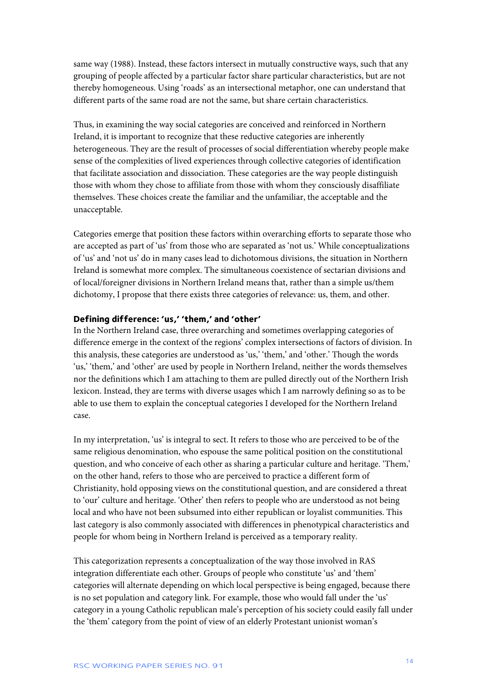same way (1988). Instead, these factors intersect in mutually constructive ways, such that any grouping of people affected by a particular factor share particular characteristics, but are not thereby homogeneous. Using 'roads' as an intersectional metaphor, one can understand that different parts of the same road are not the same, but share certain characteristics.

Thus, in examining the way social categories are conceived and reinforced in Northern Ireland, it is important to recognize that these reductive categories are inherently heterogeneous. They are the result of processes of social differentiation whereby people make sense of the complexities of lived experiences through collective categories of identification that facilitate association and dissociation. These categories are the way people distinguish those with whom they chose to affiliate from those with whom they consciously disaffiliate themselves. These choices create the familiar and the unfamiliar, the acceptable and the unacceptable.

Categories emerge that position these factors within overarching efforts to separate those who are accepted as part of 'us' from those who are separated as 'not us.' While conceptualizations of 'us' and 'not us' do in many cases lead to dichotomous divisions, the situation in Northern Ireland is somewhat more complex. The simultaneous coexistence of sectarian divisions and of local/foreigner divisions in Northern Ireland means that, rather than a simple us/them dichotomy, I propose that there exists three categories of relevance: us, them, and other.

#### **Defining difference: 'us,' 'them,' and 'other'**

In the Northern Ireland case, three overarching and sometimes overlapping categories of difference emerge in the context of the regions' complex intersections of factors of division. In this analysis, these categories are understood as 'us,' 'them,' and 'other.' Though the words 'us,' 'them,' and 'other' are used by people in Northern Ireland, neither the words themselves nor the definitions which I am attaching to them are pulled directly out of the Northern Irish lexicon. Instead, they are terms with diverse usages which I am narrowly defining so as to be able to use them to explain the conceptual categories I developed for the Northern Ireland case.

In my interpretation, 'us' is integral to sect. It refers to those who are perceived to be of the same religious denomination, who espouse the same political position on the constitutional question, and who conceive of each other as sharing a particular culture and heritage. 'Them,' on the other hand, refers to those who are perceived to practice a different form of Christianity, hold opposing views on the constitutional question, and are considered a threat to 'our' culture and heritage. 'Other' then refers to people who are understood as not being local and who have not been subsumed into either republican or loyalist communities. This last category is also commonly associated with differences in phenotypical characteristics and people for whom being in Northern Ireland is perceived as a temporary reality.

This categorization represents a conceptualization of the way those involved in RAS integration differentiate each other. Groups of people who constitute 'us' and 'them' categories will alternate depending on which local perspective is being engaged, because there is no set population and category link. For example, those who would fall under the 'us' category in a young Catholic republican male's perception of his society could easily fall under the 'them' category from the point of view of an elderly Protestant unionist woman's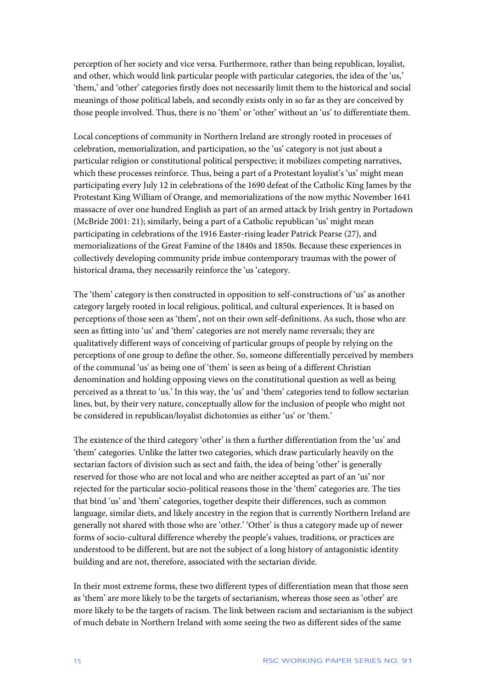perception of her society and vice versa. Furthermore, rather than being republican, loyalist, and other, which would link particular people with particular categories, the idea of the 'us,' 'them,' and 'other' categories firstly does not necessarily limit them to the historical and social meanings of those political labels, and secondly exists only in so far as they are conceived by those people involved. Thus, there is no 'them' or 'other' without an 'us' to differentiate them.

Local conceptions of community in Northern Ireland are strongly rooted in processes of celebration, memorialization, and participation, so the 'us' category is not just about a particular religion or constitutional political perspective; it mobilizes competing narratives, which these processes reinforce. Thus, being a part of a Protestant loyalist's 'us' might mean participating every July 12 in celebrations of the 1690 defeat of the Catholic King James by the Protestant King William of Orange, and memorializations of the now mythic November 1641 massacre of over one hundred English as part of an armed attack by Irish gentry in Portadown (McBride 2001: 21); similarly, being a part of a Catholic republican 'us' might mean participating in celebrations of the 1916 Easter-rising leader Patrick Pearse (27), and memorializations of the Great Famine of the 1840s and 1850s. Because these experiences in collectively developing community pride imbue contemporary traumas with the power of historical drama, they necessarily reinforce the 'us 'category.

The 'them' category is then constructed in opposition to self-constructions of 'us' as another category largely rooted in local religious, political, and cultural experiences. It is based on perceptions of those seen as 'them', not on their own self-definitions. As such, those who are seen as fitting into 'us' and 'them' categories are not merely name reversals; they are qualitatively different ways of conceiving of particular groups of people by relying on the perceptions of one group to define the other. So, someone differentially perceived by members of the communal 'us' as being one of 'them' is seen as being of a different Christian denomination and holding opposing views on the constitutional question as well as being perceived as a threat to 'us.' In this way, the 'us' and 'them' categories tend to follow sectarian lines, but, by their very nature, conceptually allow for the inclusion of people who might not be considered in republican/loyalist dichotomies as either 'us' or 'them.'

The existence of the third category 'other' is then a further differentiation from the 'us' and 'them' categories. Unlike the latter two categories, which draw particularly heavily on the sectarian factors of division such as sect and faith, the idea of being 'other' is generally reserved for those who are not local and who are neither accepted as part of an 'us' nor rejected for the particular socio-political reasons those in the 'them' categories are. The ties that bind 'us' and 'them' categories, together despite their differences, such as common language, similar diets, and likely ancestry in the region that is currently Northern Ireland are generally not shared with those who are 'other.' 'Other' is thus a category made up of newer forms of socio-cultural difference whereby the people's values, traditions, or practices are understood to be different, but are not the subject of a long history of antagonistic identity building and are not, therefore, associated with the sectarian divide.

In their most extreme forms, these two different types of differentiation mean that those seen as 'them' are more likely to be the targets of sectarianism, whereas those seen as 'other' are more likely to be the targets of racism. The link between racism and sectarianism is the subject of much debate in Northern Ireland with some seeing the two as different sides of the same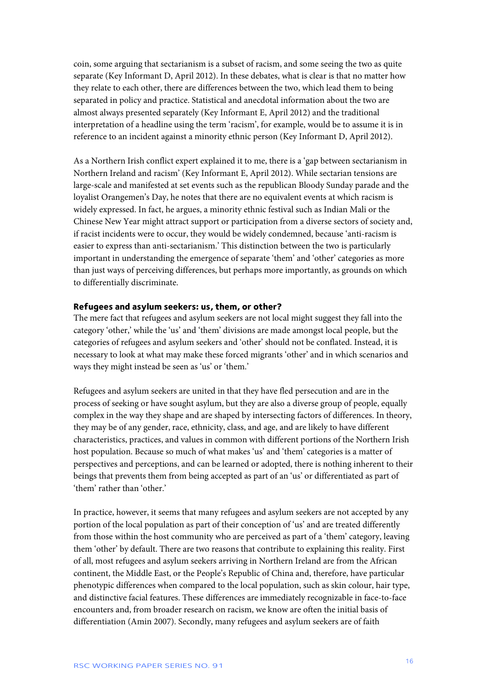coin, some arguing that sectarianism is a subset of racism, and some seeing the two as quite separate (Key Informant D, April 2012). In these debates, what is clear is that no matter how they relate to each other, there are differences between the two, which lead them to being separated in policy and practice. Statistical and anecdotal information about the two are almost always presented separately (Key Informant E, April 2012) and the traditional interpretation of a headline using the term 'racism', for example, would be to assume it is in reference to an incident against a minority ethnic person (Key Informant D, April 2012).

As a Northern Irish conflict expert explained it to me, there is a 'gap between sectarianism in Northern Ireland and racism' (Key Informant E, April 2012). While sectarian tensions are large-scale and manifested at set events such as the republican Bloody Sunday parade and the loyalist Orangemen's Day, he notes that there are no equivalent events at which racism is widely expressed. In fact, he argues, a minority ethnic festival such as Indian Mali or the Chinese New Year might attract support or participation from a diverse sectors of society and, if racist incidents were to occur, they would be widely condemned, because 'anti-racism is easier to express than anti-sectarianism.' This distinction between the two is particularly important in understanding the emergence of separate 'them' and 'other' categories as more than just ways of perceiving differences, but perhaps more importantly, as grounds on which to differentially discriminate.

#### **Refugees and asylum seekers: us, them, or other?**

The mere fact that refugees and asylum seekers are not local might suggest they fall into the category 'other,' while the 'us' and 'them' divisions are made amongst local people, but the categories of refugees and asylum seekers and 'other' should not be conflated. Instead, it is necessary to look at what may make these forced migrants 'other' and in which scenarios and ways they might instead be seen as 'us' or 'them.'

Refugees and asylum seekers are united in that they have fled persecution and are in the process of seeking or have sought asylum, but they are also a diverse group of people, equally complex in the way they shape and are shaped by intersecting factors of differences. In theory, they may be of any gender, race, ethnicity, class, and age, and are likely to have different characteristics, practices, and values in common with different portions of the Northern Irish host population. Because so much of what makes 'us' and 'them' categories is a matter of perspectives and perceptions, and can be learned or adopted, there is nothing inherent to their beings that prevents them from being accepted as part of an 'us' or differentiated as part of 'them' rather than 'other.'

In practice, however, it seems that many refugees and asylum seekers are not accepted by any portion of the local population as part of their conception of 'us' and are treated differently from those within the host community who are perceived as part of a 'them' category, leaving them 'other' by default. There are two reasons that contribute to explaining this reality. First of all, most refugees and asylum seekers arriving in Northern Ireland are from the African continent, the Middle East, or the People's Republic of China and, therefore, have particular phenotypic differences when compared to the local population, such as skin colour, hair type, and distinctive facial features. These differences are immediately recognizable in face-to-face encounters and, from broader research on racism, we know are often the initial basis of differentiation (Amin 2007). Secondly, many refugees and asylum seekers are of faith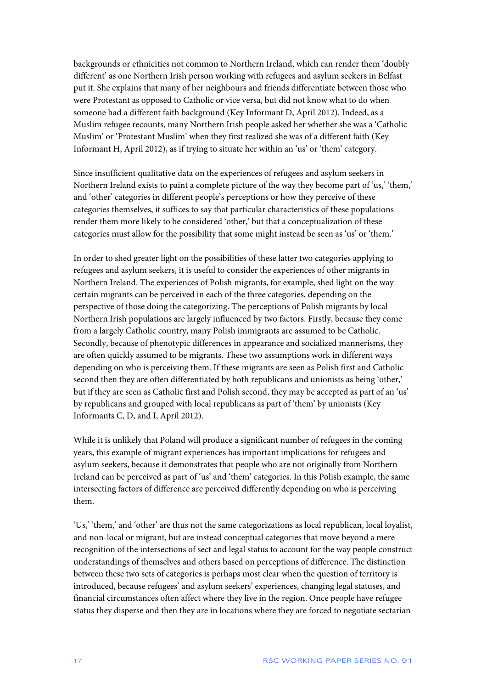backgrounds or ethnicities not common to Northern Ireland, which can render them 'doubly different' as one Northern Irish person working with refugees and asylum seekers in Belfast put it. She explains that many of her neighbours and friends differentiate between those who were Protestant as opposed to Catholic or vice versa, but did not know what to do when someone had a different faith background (Key Informant D, April 2012). Indeed, as a Muslim refugee recounts, many Northern Irish people asked her whether she was a 'Catholic Muslim' or 'Protestant Muslim' when they first realized she was of a different faith (Key Informant H, April 2012), as if trying to situate her within an 'us' or 'them' category.

Since insufficient qualitative data on the experiences of refugees and asylum seekers in Northern Ireland exists to paint a complete picture of the way they become part of 'us,' 'them,' and 'other' categories in different people's perceptions or how they perceive of these categories themselves, it suffices to say that particular characteristics of these populations render them more likely to be considered 'other,' but that a conceptualization of these categories must allow for the possibility that some might instead be seen as 'us' or 'them.'

In order to shed greater light on the possibilities of these latter two categories applying to refugees and asylum seekers, it is useful to consider the experiences of other migrants in Northern Ireland. The experiences of Polish migrants, for example, shed light on the way certain migrants can be perceived in each of the three categories, depending on the perspective of those doing the categorizing. The perceptions of Polish migrants by local Northern Irish populations are largely influenced by two factors. Firstly, because they come from a largely Catholic country, many Polish immigrants are assumed to be Catholic. Secondly, because of phenotypic differences in appearance and socialized mannerisms, they are often quickly assumed to be migrants. These two assumptions work in different ways depending on who is perceiving them. If these migrants are seen as Polish first and Catholic second then they are often differentiated by both republicans and unionists as being 'other,' but if they are seen as Catholic first and Polish second, they may be accepted as part of an 'us' by republicans and grouped with local republicans as part of 'them' by unionists (Key Informants C, D, and I, April 2012).

While it is unlikely that Poland will produce a significant number of refugees in the coming years, this example of migrant experiences has important implications for refugees and asylum seekers, because it demonstrates that people who are not originally from Northern Ireland can be perceived as part of 'us' and 'them' categories. In this Polish example, the same intersecting factors of difference are perceived differently depending on who is perceiving them.

'Us,' 'them,' and 'other' are thus not the same categorizations as local republican, local loyalist, and non-local or migrant, but are instead conceptual categories that move beyond a mere recognition of the intersections of sect and legal status to account for the way people construct understandings of themselves and others based on perceptions of difference. The distinction between these two sets of categories is perhaps most clear when the question of territory is introduced, because refugees' and asylum seekers' experiences, changing legal statuses, and financial circumstances often affect where they live in the region. Once people have refugee status they disperse and then they are in locations where they are forced to negotiate sectarian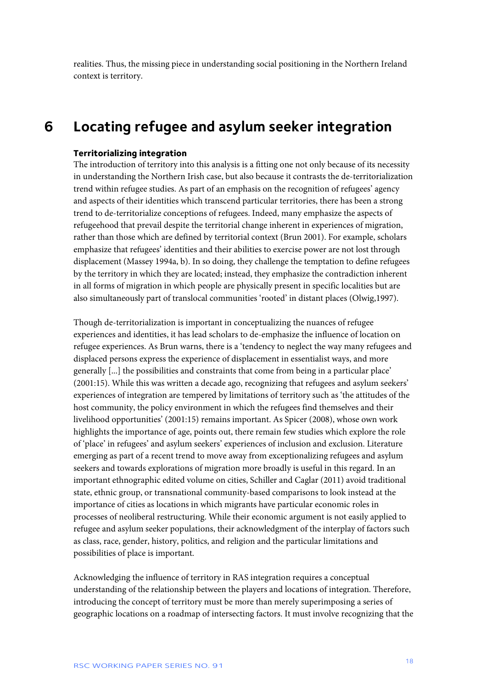realities. Thus, the missing piece in understanding social positioning in the Northern Ireland context is territory.

### <span id="page-18-0"></span>**6 Locating refugee and asylum seeker integration**

#### **Territorializing integration**

The introduction of territory into this analysis is a fitting one not only because of its necessity in understanding the Northern Irish case, but also because it contrasts the de-territorialization trend within refugee studies. As part of an emphasis on the recognition of refugees' agency and aspects of their identities which transcend particular territories, there has been a strong trend to de-territorialize conceptions of refugees. Indeed, many emphasize the aspects of refugeehood that prevail despite the territorial change inherent in experiences of migration, rather than those which are defined by territorial context (Brun 2001). For example, scholars emphasize that refugees' identities and their abilities to exercise power are not lost through displacement (Massey 1994a, b). In so doing, they challenge the temptation to define refugees by the territory in which they are located; instead, they emphasize the contradiction inherent in all forms of migration in which people are physically present in specific localities but are also simultaneously part of translocal communities 'rooted' in distant places (Olwig,1997).

Though de-territorialization is important in conceptualizing the nuances of refugee experiences and identities, it has lead scholars to de-emphasize the influence of location on refugee experiences. As Brun warns, there is a 'tendency to neglect the way many refugees and displaced persons express the experience of displacement in essentialist ways, and more generally [...] the possibilities and constraints that come from being in a particular place' (2001:15). While this was written a decade ago, recognizing that refugees and asylum seekers' experiences of integration are tempered by limitations of territory such as 'the attitudes of the host community, the policy environment in which the refugees find themselves and their livelihood opportunities' (2001:15) remains important. As Spicer (2008), whose own work highlights the importance of age, points out, there remain few studies which explore the role of 'place' in refugees' and asylum seekers' experiences of inclusion and exclusion. Literature emerging as part of a recent trend to move away from exceptionalizing refugees and asylum seekers and towards explorations of migration more broadly is useful in this regard. In an important ethnographic edited volume on cities, Schiller and Caglar (2011) avoid traditional state, ethnic group, or transnational community-based comparisons to look instead at the importance of cities as locations in which migrants have particular economic roles in processes of neoliberal restructuring. While their economic argument is not easily applied to refugee and asylum seeker populations, their acknowledgment of the interplay of factors such as class, race, gender, history, politics, and religion and the particular limitations and possibilities of place is important.

Acknowledging the influence of territory in RAS integration requires a conceptual understanding of the relationship between the players and locations of integration. Therefore, introducing the concept of territory must be more than merely superimposing a series of geographic locations on a roadmap of intersecting factors. It must involve recognizing that the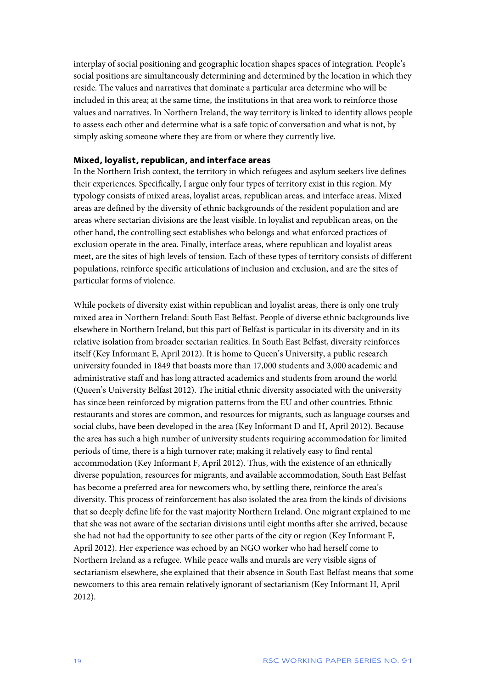interplay of social positioning and geographic location shapes spaces of integration. People's social positions are simultaneously determining and determined by the location in which they reside. The values and narratives that dominate a particular area determine who will be included in this area; at the same time, the institutions in that area work to reinforce those values and narratives. In Northern Ireland, the way territory is linked to identity allows people to assess each other and determine what is a safe topic of conversation and what is not, by simply asking someone where they are from or where they currently live.

#### **Mixed, loyalist, republican, and interface areas**

In the Northern Irish context, the territory in which refugees and asylum seekers live defines their experiences. Specifically, I argue only four types of territory exist in this region. My typology consists of mixed areas, loyalist areas, republican areas, and interface areas. Mixed areas are defined by the diversity of ethnic backgrounds of the resident population and are areas where sectarian divisions are the least visible. In loyalist and republican areas, on the other hand, the controlling sect establishes who belongs and what enforced practices of exclusion operate in the area. Finally, interface areas, where republican and loyalist areas meet, are the sites of high levels of tension. Each of these types of territory consists of different populations, reinforce specific articulations of inclusion and exclusion, and are the sites of particular forms of violence.

While pockets of diversity exist within republican and loyalist areas, there is only one truly mixed area in Northern Ireland: South East Belfast. People of diverse ethnic backgrounds live elsewhere in Northern Ireland, but this part of Belfast is particular in its diversity and in its relative isolation from broader sectarian realities. In South East Belfast, diversity reinforces itself (Key Informant E, April 2012). It is home to Queen's University, a public research university founded in 1849 that boasts more than 17,000 students and 3,000 academic and administrative staff and has long attracted academics and students from around the world (Queen's University Belfast 2012). The initial ethnic diversity associated with the university has since been reinforced by migration patterns from the EU and other countries. Ethnic restaurants and stores are common, and resources for migrants, such as language courses and social clubs, have been developed in the area (Key Informant D and H, April 2012). Because the area has such a high number of university students requiring accommodation for limited periods of time, there is a high turnover rate; making it relatively easy to find rental accommodation (Key Informant F, April 2012). Thus, with the existence of an ethnically diverse population, resources for migrants, and available accommodation, South East Belfast has become a preferred area for newcomers who, by settling there, reinforce the area's diversity. This process of reinforcement has also isolated the area from the kinds of divisions that so deeply define life for the vast majority Northern Ireland. One migrant explained to me that she was not aware of the sectarian divisions until eight months after she arrived, because she had not had the opportunity to see other parts of the city or region (Key Informant F, April 2012). Her experience was echoed by an NGO worker who had herself come to Northern Ireland as a refugee. While peace walls and murals are very visible signs of sectarianism elsewhere, she explained that their absence in South East Belfast means that some newcomers to this area remain relatively ignorant of sectarianism (Key Informant H, April 2012).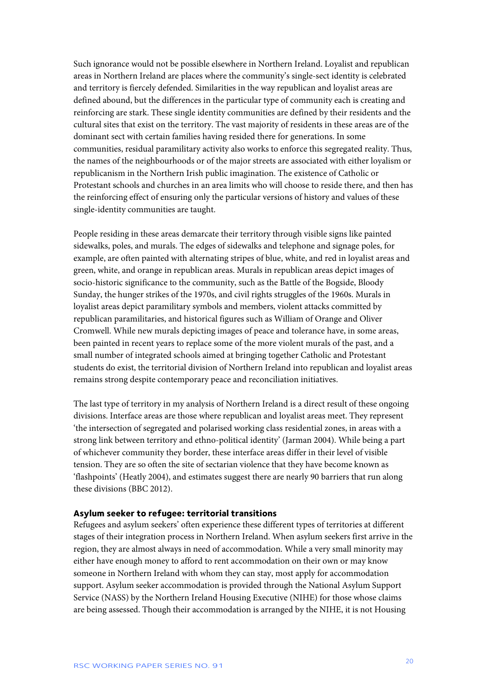Such ignorance would not be possible elsewhere in Northern Ireland. Loyalist and republican areas in Northern Ireland are places where the community's single-sect identity is celebrated and territory is fiercely defended. Similarities in the way republican and loyalist areas are defined abound, but the differences in the particular type of community each is creating and reinforcing are stark. These single identity communities are defined by their residents and the cultural sites that exist on the territory. The vast majority of residents in these areas are of the dominant sect with certain families having resided there for generations. In some communities, residual paramilitary activity also works to enforce this segregated reality. Thus, the names of the neighbourhoods or of the major streets are associated with either loyalism or republicanism in the Northern Irish public imagination. The existence of Catholic or Protestant schools and churches in an area limits who will choose to reside there, and then has the reinforcing effect of ensuring only the particular versions of history and values of these single-identity communities are taught.

People residing in these areas demarcate their territory through visible signs like painted sidewalks, poles, and murals. The edges of sidewalks and telephone and signage poles, for example, are often painted with alternating stripes of blue, white, and red in loyalist areas and green, white, and orange in republican areas. Murals in republican areas depict images of socio-historic significance to the community, such as the Battle of the Bogside, Bloody Sunday, the hunger strikes of the 1970s, and civil rights struggles of the 1960s. Murals in loyalist areas depict paramilitary symbols and members, violent attacks committed by republican paramilitaries, and historical figures such as William of Orange and Oliver Cromwell. While new murals depicting images of peace and tolerance have, in some areas, been painted in recent years to replace some of the more violent murals of the past, and a small number of integrated schools aimed at bringing together Catholic and Protestant students do exist, the territorial division of Northern Ireland into republican and loyalist areas remains strong despite contemporary peace and reconciliation initiatives.

The last type of territory in my analysis of Northern Ireland is a direct result of these ongoing divisions. Interface areas are those where republican and loyalist areas meet. They represent 'the intersection of segregated and polarised working class residential zones, in areas with a strong link between territory and ethno-political identity' (Jarman 2004). While being a part of whichever community they border, these interface areas differ in their level of visible tension. They are so often the site of sectarian violence that they have become known as 'flashpoints' (Heatly 2004), and estimates suggest there are nearly 90 barriers that run along these divisions (BBC 2012).

#### **Asylum seeker to refugee: territorial transitions**

Refugees and asylum seekers' often experience these different types of territories at different stages of their integration process in Northern Ireland. When asylum seekers first arrive in the region, they are almost always in need of accommodation. While a very small minority may either have enough money to afford to rent accommodation on their own or may know someone in Northern Ireland with whom they can stay, most apply for accommodation support. Asylum seeker accommodation is provided through the National Asylum Support Service (NASS) by the Northern Ireland Housing Executive (NIHE) for those whose claims are being assessed. Though their accommodation is arranged by the NIHE, it is not Housing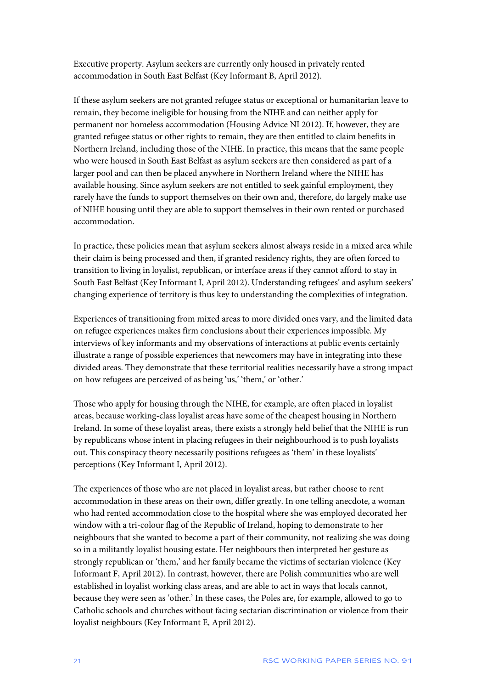Executive property. Asylum seekers are currently only housed in privately rented accommodation in South East Belfast (Key Informant B, April 2012).

If these asylum seekers are not granted refugee status or exceptional or humanitarian leave to remain, they become ineligible for housing from the NIHE and can neither apply for permanent nor homeless accommodation (Housing Advice NI 2012). If, however, they are granted refugee status or other rights to remain, they are then entitled to claim benefits in Northern Ireland, including those of the NIHE. In practice, this means that the same people who were housed in South East Belfast as asylum seekers are then considered as part of a larger pool and can then be placed anywhere in Northern Ireland where the NIHE has available housing. Since asylum seekers are not entitled to seek gainful employment, they rarely have the funds to support themselves on their own and, therefore, do largely make use of NIHE housing until they are able to support themselves in their own rented or purchased accommodation.

In practice, these policies mean that asylum seekers almost always reside in a mixed area while their claim is being processed and then, if granted residency rights, they are often forced to transition to living in loyalist, republican, or interface areas if they cannot afford to stay in South East Belfast (Key Informant I, April 2012). Understanding refugees' and asylum seekers' changing experience of territory is thus key to understanding the complexities of integration.

Experiences of transitioning from mixed areas to more divided ones vary, and the limited data on refugee experiences makes firm conclusions about their experiences impossible. My interviews of key informants and my observations of interactions at public events certainly illustrate a range of possible experiences that newcomers may have in integrating into these divided areas. They demonstrate that these territorial realities necessarily have a strong impact on how refugees are perceived of as being 'us,' 'them,' or 'other.'

Those who apply for housing through the NIHE, for example, are often placed in loyalist areas, because working-class loyalist areas have some of the cheapest housing in Northern Ireland. In some of these loyalist areas, there exists a strongly held belief that the NIHE is run by republicans whose intent in placing refugees in their neighbourhood is to push loyalists out. This conspiracy theory necessarily positions refugees as 'them' in these loyalists' perceptions (Key Informant I, April 2012).

The experiences of those who are not placed in loyalist areas, but rather choose to rent accommodation in these areas on their own, differ greatly. In one telling anecdote, a woman who had rented accommodation close to the hospital where she was employed decorated her window with a tri-colour flag of the Republic of Ireland, hoping to demonstrate to her neighbours that she wanted to become a part of their community, not realizing she was doing so in a militantly loyalist housing estate. Her neighbours then interpreted her gesture as strongly republican or 'them,' and her family became the victims of sectarian violence (Key Informant F, April 2012). In contrast, however, there are Polish communities who are well established in loyalist working class areas, and are able to act in ways that locals cannot, because they were seen as 'other.' In these cases, the Poles are, for example, allowed to go to Catholic schools and churches without facing sectarian discrimination or violence from their loyalist neighbours (Key Informant E, April 2012).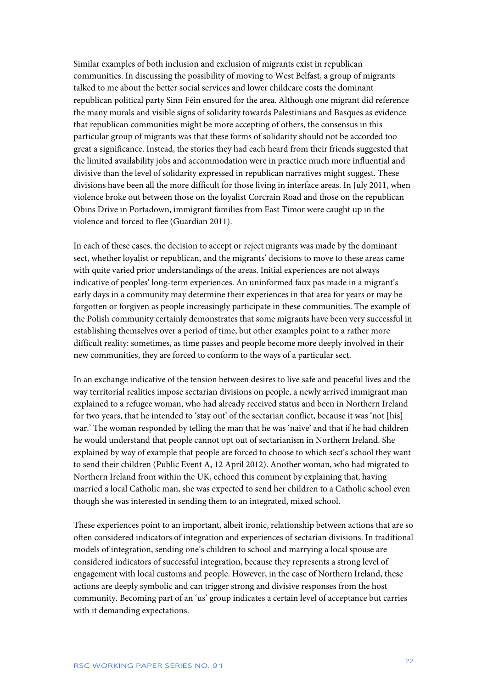Similar examples of both inclusion and exclusion of migrants exist in republican communities. In discussing the possibility of moving to West Belfast, a group of migrants talked to me about the better social services and lower childcare costs the dominant republican political party Sinn Féin ensured for the area. Although one migrant did reference the many murals and visible signs of solidarity towards Palestinians and Basques as evidence that republican communities might be more accepting of others, the consensus in this particular group of migrants was that these forms of solidarity should not be accorded too great a significance. Instead, the stories they had each heard from their friends suggested that the limited availability jobs and accommodation were in practice much more influential and divisive than the level of solidarity expressed in republican narratives might suggest. These divisions have been all the more difficult for those living in interface areas. In July 2011, when violence broke out between those on the loyalist Corcrain Road and those on the republican Obins Drive in Portadown, immigrant families from East Timor were caught up in the violence and forced to flee (Guardian 2011).

In each of these cases, the decision to accept or reject migrants was made by the dominant sect, whether loyalist or republican, and the migrants' decisions to move to these areas came with quite varied prior understandings of the areas. Initial experiences are not always indicative of peoples' long-term experiences. An uninformed faux pas made in a migrant's early days in a community may determine their experiences in that area for years or may be forgotten or forgiven as people increasingly participate in these communities. The example of the Polish community certainly demonstrates that some migrants have been very successful in establishing themselves over a period of time, but other examples point to a rather more difficult reality: sometimes, as time passes and people become more deeply involved in their new communities, they are forced to conform to the ways of a particular sect.

In an exchange indicative of the tension between desires to live safe and peaceful lives and the way territorial realities impose sectarian divisions on people, a newly arrived immigrant man explained to a refugee woman, who had already received status and been in Northern Ireland for two years, that he intended to 'stay out' of the sectarian conflict, because it was 'not [his] war.' The woman responded by telling the man that he was 'naive' and that if he had children he would understand that people cannot opt out of sectarianism in Northern Ireland. She explained by way of example that people are forced to choose to which sect's school they want to send their children (Public Event A, 12 April 2012). Another woman, who had migrated to Northern Ireland from within the UK, echoed this comment by explaining that, having married a local Catholic man, she was expected to send her children to a Catholic school even though she was interested in sending them to an integrated, mixed school.

These experiences point to an important, albeit ironic, relationship between actions that are so often considered indicators of integration and experiences of sectarian divisions. In traditional models of integration, sending one's children to school and marrying a local spouse are considered indicators of successful integration, because they represents a strong level of engagement with local customs and people. However, in the case of Northern Ireland, these actions are deeply symbolic and can trigger strong and divisive responses from the host community. Becoming part of an 'us' group indicates a certain level of acceptance but carries with it demanding expectations.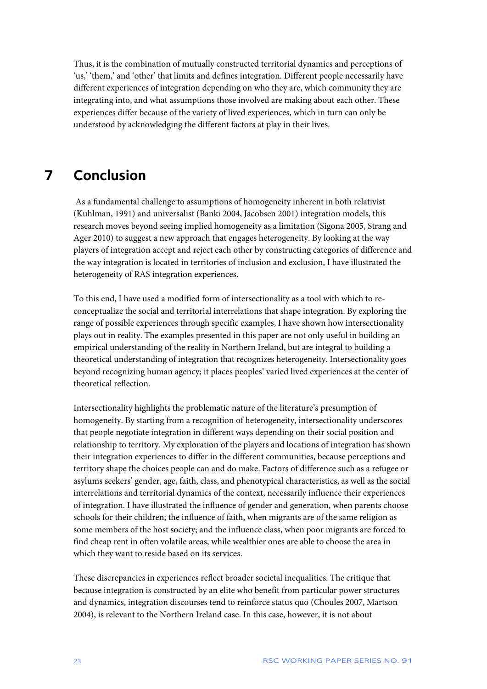Thus, it is the combination of mutually constructed territorial dynamics and perceptions of 'us,' 'them,' and 'other' that limits and defines integration. Different people necessarily have different experiences of integration depending on who they are, which community they are integrating into, and what assumptions those involved are making about each other. These experiences differ because of the variety of lived experiences, which in turn can only be understood by acknowledging the different factors at play in their lives.

### <span id="page-23-0"></span>**7 Conclusion**

As a fundamental challenge to assumptions of homogeneity inherent in both relativist (Kuhlman, 1991) and universalist (Banki 2004, Jacobsen 2001) integration models, this research moves beyond seeing implied homogeneity as a limitation (Sigona 2005, Strang and Ager 2010) to suggest a new approach that engages heterogeneity. By looking at the way players of integration accept and reject each other by constructing categories of difference and the way integration is located in territories of inclusion and exclusion, I have illustrated the heterogeneity of RAS integration experiences.

To this end, I have used a modified form of intersectionality as a tool with which to reconceptualize the social and territorial interrelations that shape integration. By exploring the range of possible experiences through specific examples, I have shown how intersectionality plays out in reality. The examples presented in this paper are not only useful in building an empirical understanding of the reality in Northern Ireland, but are integral to building a theoretical understanding of integration that recognizes heterogeneity. Intersectionality goes beyond recognizing human agency; it places peoples' varied lived experiences at the center of theoretical reflection.

Intersectionality highlights the problematic nature of the literature's presumption of homogeneity. By starting from a recognition of heterogeneity, intersectionality underscores that people negotiate integration in different ways depending on their social position and relationship to territory. My exploration of the players and locations of integration has shown their integration experiences to differ in the different communities, because perceptions and territory shape the choices people can and do make. Factors of difference such as a refugee or asylums seekers' gender, age, faith, class, and phenotypical characteristics, as well as the social interrelations and territorial dynamics of the context, necessarily influence their experiences of integration. I have illustrated the influence of gender and generation, when parents choose schools for their children; the influence of faith, when migrants are of the same religion as some members of the host society; and the influence class, when poor migrants are forced to find cheap rent in often volatile areas, while wealthier ones are able to choose the area in which they want to reside based on its services.

These discrepancies in experiences reflect broader societal inequalities. The critique that because integration is constructed by an elite who benefit from particular power structures and dynamics, integration discourses tend to reinforce status quo (Choules 2007, Martson 2004), is relevant to the Northern Ireland case. In this case, however, it is not about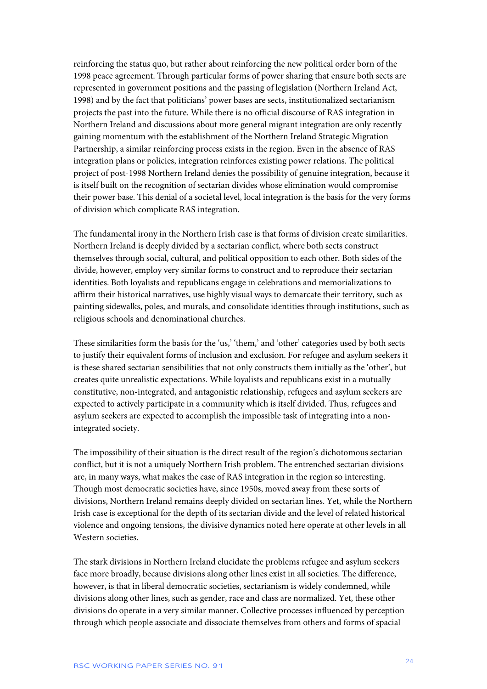reinforcing the status quo, but rather about reinforcing the new political order born of the 1998 peace agreement. Through particular forms of power sharing that ensure both sects are represented in government positions and the passing of legislation (Northern Ireland Act, 1998) and by the fact that politicians' power bases are sects, institutionalized sectarianism projects the past into the future. While there is no official discourse of RAS integration in Northern Ireland and discussions about more general migrant integration are only recently gaining momentum with the establishment of the Northern Ireland Strategic Migration Partnership, a similar reinforcing process exists in the region. Even in the absence of RAS integration plans or policies, integration reinforces existing power relations. The political project of post-1998 Northern Ireland denies the possibility of genuine integration, because it is itself built on the recognition of sectarian divides whose elimination would compromise their power base. This denial of a societal level, local integration is the basis for the very forms of division which complicate RAS integration.

The fundamental irony in the Northern Irish case is that forms of division create similarities. Northern Ireland is deeply divided by a sectarian conflict, where both sects construct themselves through social, cultural, and political opposition to each other. Both sides of the divide, however, employ very similar forms to construct and to reproduce their sectarian identities. Both loyalists and republicans engage in celebrations and memorializations to affirm their historical narratives, use highly visual ways to demarcate their territory, such as painting sidewalks, poles, and murals, and consolidate identities through institutions, such as religious schools and denominational churches.

These similarities form the basis for the 'us,' 'them,' and 'other' categories used by both sects to justify their equivalent forms of inclusion and exclusion. For refugee and asylum seekers it is these shared sectarian sensibilities that not only constructs them initially as the 'other', but creates quite unrealistic expectations. While loyalists and republicans exist in a mutually constitutive, non-integrated, and antagonistic relationship, refugees and asylum seekers are expected to actively participate in a community which is itself divided. Thus, refugees and asylum seekers are expected to accomplish the impossible task of integrating into a nonintegrated society.

The impossibility of their situation is the direct result of the region's dichotomous sectarian conflict, but it is not a uniquely Northern Irish problem. The entrenched sectarian divisions are, in many ways, what makes the case of RAS integration in the region so interesting. Though most democratic societies have, since 1950s, moved away from these sorts of divisions, Northern Ireland remains deeply divided on sectarian lines. Yet, while the Northern Irish case is exceptional for the depth of its sectarian divide and the level of related historical violence and ongoing tensions, the divisive dynamics noted here operate at other levels in all Western societies.

The stark divisions in Northern Ireland elucidate the problems refugee and asylum seekers face more broadly, because divisions along other lines exist in all societies. The difference, however, is that in liberal democratic societies, sectarianism is widely condemned, while divisions along other lines, such as gender, race and class are normalized. Yet, these other divisions do operate in a very similar manner. Collective processes influenced by perception through which people associate and dissociate themselves from others and forms of spacial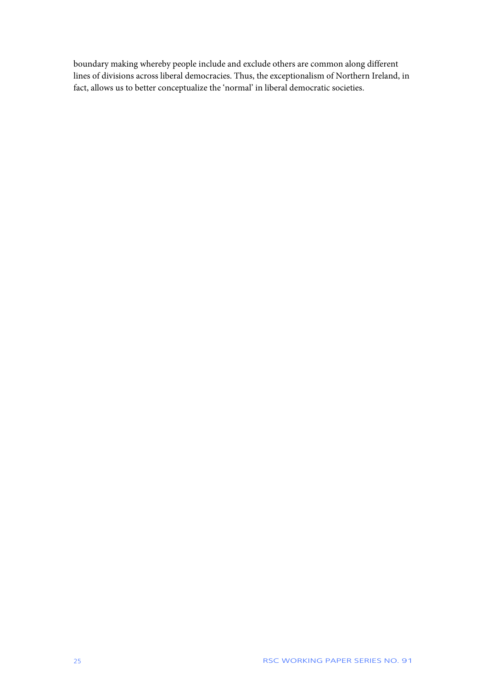boundary making whereby people include and exclude others are common along different lines of divisions across liberal democracies. Thus, the exceptionalism of Northern Ireland, in fact, allows us to better conceptualize the 'normal' in liberal democratic societies.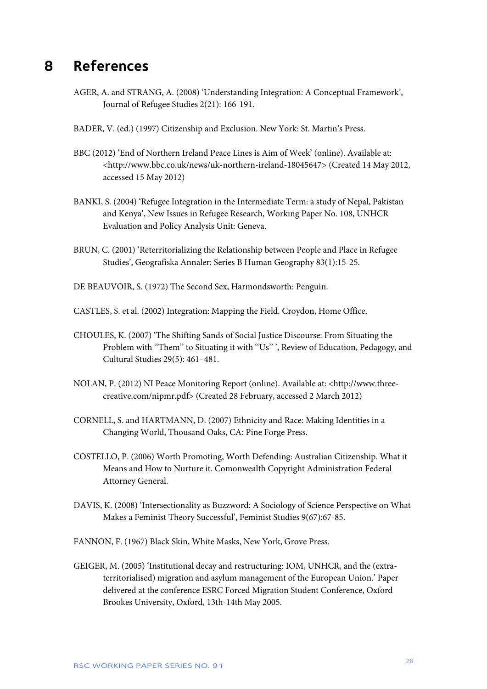### <span id="page-26-0"></span>**8 References**

- AGER, A. and STRANG, A. (2008) 'Understanding Integration: A Conceptual Framework', Journal of Refugee Studies 2(21): 166-191.
- BADER, V. (ed.) (1997) Citizenship and Exclusion. New York: St. Martin's Press.
- BBC (2012) 'End of Northern Ireland Peace Lines is Aim of Week' (online). Available at: <http://www.bbc.co.uk/news/uk-northern-ireland-18045647> (Created 14 May 2012, accessed 15 May 2012)
- BANKI, S. (2004) 'Refugee Integration in the Intermediate Term: a study of Nepal, Pakistan and Kenya', New Issues in Refugee Research, Working Paper No. 108, UNHCR Evaluation and Policy Analysis Unit: Geneva.
- BRUN, C. (2001) 'Reterritorializing the Relationship between People and Place in Refugee Studies', Geografiska Annaler: Series B Human Geography 83(1):15-25.
- DE BEAUVOIR, S. (1972) The Second Sex, Harmondsworth: Penguin.
- CASTLES, S. et al. (2002) Integration: Mapping the Field. Croydon, Home Office.
- CHOULES, K. (2007) 'The Shifting Sands of Social Justice Discourse: From Situating the Problem with ''Them'' to Situating it with ''Us'' ', Review of Education, Pedagogy, and Cultural Studies 29(5): 461–481.
- NOLAN, P. (2012) NI Peace Monitoring Report (online). Available at: <http://www.threecreative.com/nipmr.pdf> (Created 28 February, accessed 2 March 2012)
- CORNELL, S. and HARTMANN, D. (2007) Ethnicity and Race: Making Identities in a Changing World, Thousand Oaks, CA: Pine Forge Press.
- COSTELLO, P. (2006) Worth Promoting, Worth Defending: Australian Citizenship. What it Means and How to Nurture it. Comonwealth Copyright Administration Federal Attorney General.
- DAVIS, K. (2008) 'Intersectionality as Buzzword: A Sociology of Science Perspective on What Makes a Feminist Theory Successful', Feminist Studies 9(67):67-85.
- FANNON, F. (1967) Black Skin, White Masks, New York, Grove Press.
- GEIGER, M. (2005) 'Institutional decay and restructuring: IOM, UNHCR, and the (extraterritorialised) migration and asylum management of the European Union.' Paper delivered at the conference ESRC Forced Migration Student Conference, Oxford Brookes University, Oxford, 13th-14th May 2005.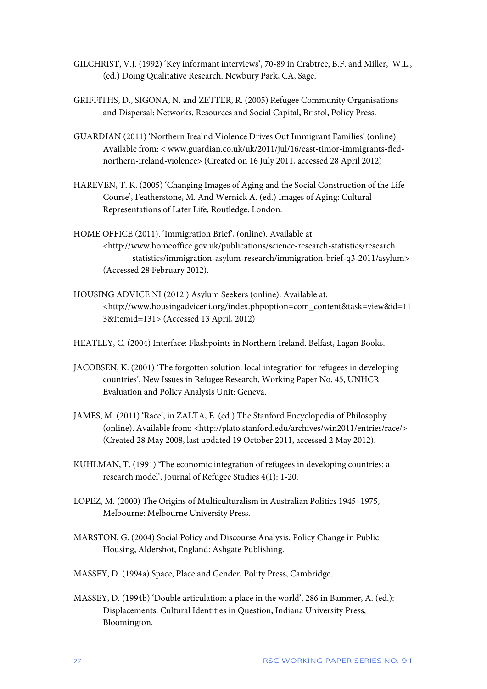- GILCHRIST, V.J. (1992) 'Key informant interviews', 70-89 in Crabtree, B.F. and Miller, W.L., (ed.) Doing Qualitative Research. Newbury Park, CA, Sage.
- GRIFFITHS, D., SIGONA, N. and ZETTER, R. (2005) Refugee Community Organisations and Dispersal: Networks, Resources and Social Capital, Bristol, Policy Press.
- GUARDIAN (2011) 'Northern Irealnd Violence Drives Out Immigrant Families' (online). Available from: < www.guardian.co.uk/uk/2011/jul/16/east-timor-immigrants-flednorthern-ireland-violence> (Created on 16 July 2011, accessed 28 April 2012)
- HAREVEN, T. K. (2005) 'Changing Images of Aging and the Social Construction of the Life Course', Featherstone, M. And Wernick A. (ed.) Images of Aging: Cultural Representations of Later Life, Routledge: London.
- HOME OFFICE (2011). 'Immigration Brief', (online). Available at: <http://www.homeoffice.gov.uk/publications/science-research-statistics/research statistics/immigration-asylum-research/immigration-brief-q3-2011/asylum> (Accessed 28 February 2012).
- HOUSING ADVICE NI (2012 ) Asylum Seekers (online). Available at: <http://www.housingadviceni.org/index.phpoption=com\_content&task=view&id=11 3&Itemid=131> (Accessed 13 April, 2012)
- HEATLEY, C. (2004) Interface: Flashpoints in Northern Ireland. Belfast, Lagan Books.
- JACOBSEN, K. (2001) 'The forgotten solution: local integration for refugees in developing countries', New Issues in Refugee Research, Working Paper No. 45, UNHCR Evaluation and Policy Analysis Unit: Geneva.
- JAMES, M. (2011) 'Race', in ZALTA, E. (ed.) The Stanford Encyclopedia of Philosophy (online). Available from: <http://plato.stanford.edu/archives/win2011/entries/race/> (Created 28 May 2008, last updated 19 October 2011, accessed 2 May 2012).
- KUHLMAN, T. (1991) 'The economic integration of refugees in developing countries: a research model', Journal of Refugee Studies 4(1): 1-20.
- LOPEZ, M. (2000) The Origins of Multiculturalism in Australian Politics 1945–1975, Melbourne: Melbourne University Press.
- MARSTON, G. (2004) Social Policy and Discourse Analysis: Policy Change in Public Housing, Aldershot, England: Ashgate Publishing.
- MASSEY, D. (1994a) Space, Place and Gender, Polity Press, Cambridge.
- MASSEY, D. (1994b) 'Double articulation: a place in the world', 286 in Bammer, A. (ed.): Displacements. Cultural Identities in Question, Indiana University Press, Bloomington.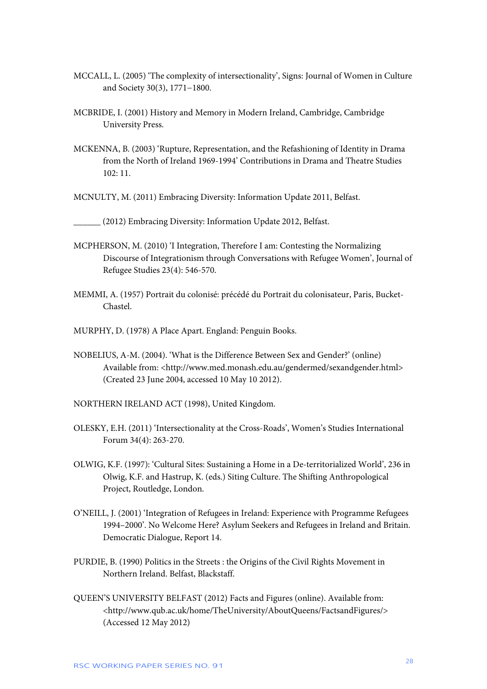- MCCALL, L. (2005) 'The complexity of intersectionality', Signs: Journal of Women in Culture and Society 30(3), 1771−1800.
- MCBRIDE, I. (2001) History and Memory in Modern Ireland, Cambridge, Cambridge University Press.
- MCKENNA, B. (2003) 'Rupture, Representation, and the Refashioning of Identity in Drama from the North of Ireland 1969-1994' Contributions in Drama and Theatre Studies 102: 11.
- MCNULTY, M. (2011) Embracing Diversity: Information Update 2011, Belfast.

\_\_\_\_\_\_ (2012) Embracing Diversity: Information Update 2012, Belfast.

- MCPHERSON, M. (2010) 'I Integration, Therefore I am: Contesting the Normalizing Discourse of Integrationism through Conversations with Refugee Women', Journal of Refugee Studies 23(4): 546-570.
- MEMMI, A. (1957) Portrait du colonisé: précédé du Portrait du colonisateur, Paris, Bucket-Chastel.
- MURPHY, D. (1978) A Place Apart. England: Penguin Books.
- NOBELIUS, A-M. (2004). 'What is the Difference Between Sex and Gender?' (online) Available from: <http://www.med.monash.edu.au/gendermed/sexandgender.html> (Created 23 June 2004, accessed 10 May 10 2012).
- NORTHERN IRELAND ACT (1998), United Kingdom.
- OLESKY, E.H. (2011) 'Intersectionality at the Cross-Roads', Women's Studies International Forum 34(4): 263-270.
- OLWIG, K.F. (1997): 'Cultural Sites: Sustaining a Home in a De-territorialized World', 236 in Olwig, K.F. and Hastrup, K. (eds.) Siting Culture. The Shifting Anthropological Project, Routledge, London.
- O'NEILL, J. (2001) 'Integration of Refugees in Ireland: Experience with Programme Refugees 1994–2000'. No Welcome Here? Asylum Seekers and Refugees in Ireland and Britain. Democratic Dialogue, Report 14.
- PURDIE, B. (1990) Politics in the Streets : the Origins of the Civil Rights Movement in Northern Ireland. Belfast, Blackstaff.
- QUEEN'S UNIVERSITY BELFAST (2012) Facts and Figures (online). Available from: <http://www.qub.ac.uk/home/TheUniversity/AboutQueens/FactsandFigures/> (Accessed 12 May 2012)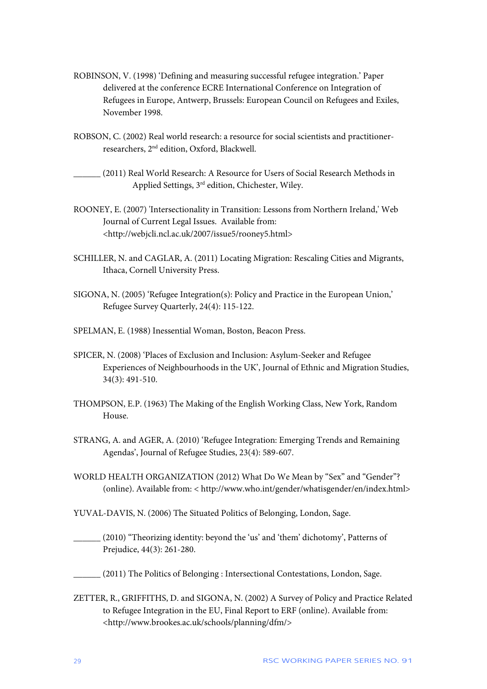- ROBINSON, V. (1998) 'Defining and measuring successful refugee integration.' Paper delivered at the conference ECRE International Conference on Integration of Refugees in Europe, Antwerp, Brussels: European Council on Refugees and Exiles, November 1998.
- ROBSON, C. (2002) Real world research: a resource for social scientists and practitionerresearchers, 2nd edition, Oxford, Blackwell.
- \_\_\_\_\_\_ (2011) Real World Research: A Resource for Users of Social Research Methods in Applied Settings, 3rd edition, Chichester, Wiley.
- ROONEY, E. (2007) 'Intersectionality in Transition: Lessons from Northern Ireland,' Web Journal of Current Legal Issues. Available from: <http://webjcli.ncl.ac.uk/2007/issue5/rooney5.html>
- SCHILLER, N. and CAGLAR, A. (2011) Locating Migration: Rescaling Cities and Migrants, Ithaca, Cornell University Press.
- SIGONA, N. (2005) 'Refugee Integration(s): Policy and Practice in the European Union,' Refugee Survey Quarterly, 24(4): 115-122.
- SPELMAN, E. (1988) Inessential Woman, Boston, Beacon Press.
- SPICER, N. (2008) 'Places of Exclusion and Inclusion: Asylum-Seeker and Refugee Experiences of Neighbourhoods in the UK', Journal of Ethnic and Migration Studies, 34(3): 491-510.
- THOMPSON, E.P. (1963) The Making of the English Working Class, New York, Random House.
- STRANG, A. and AGER, A. (2010) 'Refugee Integration: Emerging Trends and Remaining Agendas', Journal of Refugee Studies, 23(4): 589-607.
- WORLD HEALTH ORGANIZATION (2012) What Do We Mean by "Sex" and "Gender"? (online). Available from: < http://www.who.int/gender/whatisgender/en/index.html>
- YUVAL-DAVIS, N. (2006) The Situated Politics of Belonging, London, Sage.
- \_\_\_\_\_\_ (2010) "Theorizing identity: beyond the 'us' and 'them' dichotomy', Patterns of Prejudice, 44(3): 261-280.
- \_\_\_\_\_\_ (2011) The Politics of Belonging : Intersectional Contestations, London, Sage.
- ZETTER, R., GRIFFITHS, D. and SIGONA, N. (2002) A Survey of Policy and Practice Related to Refugee Integration in the EU, Final Report to ERF (online). Available from: <http://www.brookes.ac.uk/schools/planning/dfm/>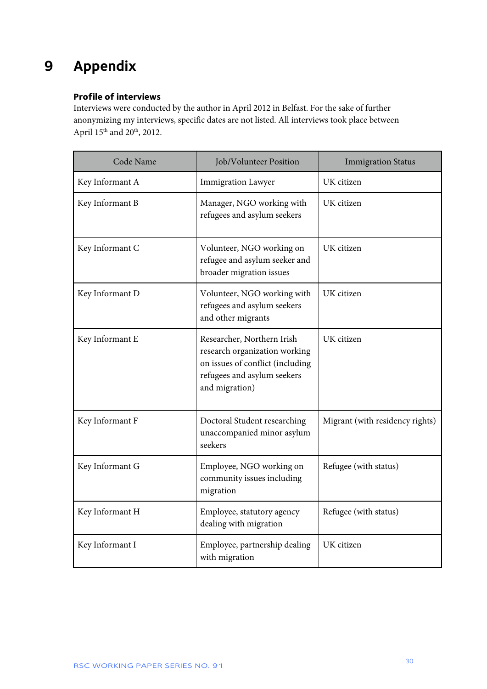## <span id="page-30-0"></span>**9 Appendix**

### **Profile of interviews**

Interviews were conducted by the author in April 2012 in Belfast. For the sake of further anonymizing my interviews, specific dates are not listed. All interviews took place between April 15<sup>th</sup> and 20<sup>th</sup>, 2012.

| Code Name       | Job/Volunteer Position                                                                                                                           | <b>Immigration Status</b>       |
|-----------------|--------------------------------------------------------------------------------------------------------------------------------------------------|---------------------------------|
| Key Informant A | <b>Immigration Lawyer</b>                                                                                                                        | UK citizen                      |
| Key Informant B | Manager, NGO working with<br>refugees and asylum seekers                                                                                         | UK citizen                      |
| Key Informant C | Volunteer, NGO working on<br>refugee and asylum seeker and<br>broader migration issues                                                           | UK citizen                      |
| Key Informant D | Volunteer, NGO working with<br>refugees and asylum seekers<br>and other migrants                                                                 | UK citizen                      |
| Key Informant E | Researcher, Northern Irish<br>research organization working<br>on issues of conflict (including<br>refugees and asylum seekers<br>and migration) | UK citizen                      |
| Key Informant F | Doctoral Student researching<br>unaccompanied minor asylum<br>seekers                                                                            | Migrant (with residency rights) |
| Key Informant G | Employee, NGO working on<br>community issues including<br>migration                                                                              | Refugee (with status)           |
| Key Informant H | Employee, statutory agency<br>dealing with migration                                                                                             | Refugee (with status)           |
| Key Informant I | Employee, partnership dealing<br>with migration                                                                                                  | UK citizen                      |